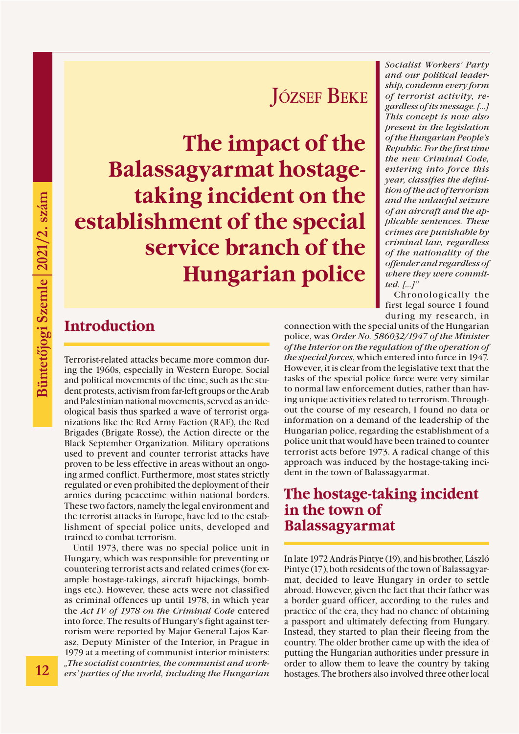# József Beke

**The impact of the Balassagyarmat hostagetaking incident on the establishment of the special service branch of the Hungarian police**

# **Introduction**

Terrorist-related attacks became more common during the 1960s, especially in Western Europe. Social and political movements of the time, such as the student protests, activism from far-left groups or the Arab and Palestinian national movements, served as an ideological basis thus sparked a wave of terrorist organizations like the Red Army Faction (RAF), the Red Brigades (Brigate Rosse), the Action directe or the Black September Organization. Military operations used to prevent and counter terrorist attacks have proven to be less effective in areas without an ongoing armed conflict. Furthermore, most states strictly regulated or even prohibited the deployment of their armies during peacetime within national borders. These two factors, namely the legal environment and the terrorist attacks in Europe, have led to the establishment of special police units, developed and trained to combat terrorism.

Until 1973, there was no special police unit in Hungary, which was responsible for preventing or countering terrorist acts and related crimes (for example hostage-takings, aircraft hijackings, bombings etc.). However, these acts were not classified as criminal offences up until 1978, in which year the *Act IV of 1978 on the Criminal Code* entered into force. The results of Hungary's fight against terrorism were reported by Major General Lajos Karasz, Deputy Minister of the Interior, in Prague in 1979 at a meeting of communist interior ministers: *"The socialist countries, the communist and workers' parties of the world, including the Hungarian* 

*Socialist Workers' Party and our political leadership, condemn every form of terrorist activity, regardless of its message. […] This concept is now also present in the legislation of the Hungarian People's Republic. For the first time the new Criminal Code, entering into force this year, classifies the definition of the act of terrorism and the unlawful seizure of an aircraft and the applicable sentences. These crimes are punishable by criminal law, regardless of the nationality of the offender and regardless of where they were committed. […]"*

Chronologically the first legal source I found during my research, in

connection with the special units of the Hungarian police, was *Order No. 586032/1947 of the Minister of the Interior on the regulation of the operation of the special forces*, which entered into force in 1947*.* However, it is clear from the legislative text that the tasks of the special police force were very similar to normal law enforcement duties, rather than having unique activities related to terrorism. Throughout the course of my research, I found no data or information on a demand of the leadership of the Hungarian police, regarding the establishment of a police unit that would have been trained to counter terrorist acts before 1973. A radical change of this approach was induced by the hostage-taking incident in the town of Balassagyarmat.

#### **The hostage-taking incident in the town of Balassagyarmat**

In late 1972 András Pintye (19), and his brother, László Pintye (17), both residents of the town of Balassagyarmat, decided to leave Hungary in order to settle abroad. However, given the fact that their father was a border guard officer, according to the rules and practice of the era, they had no chance of obtaining a passport and ultimately defecting from Hungary. Instead, they started to plan their fleeing from the country. The older brother came up with the idea of putting the Hungarian authorities under pressure in order to allow them to leave the country by taking hostages. The brothers also involved three other local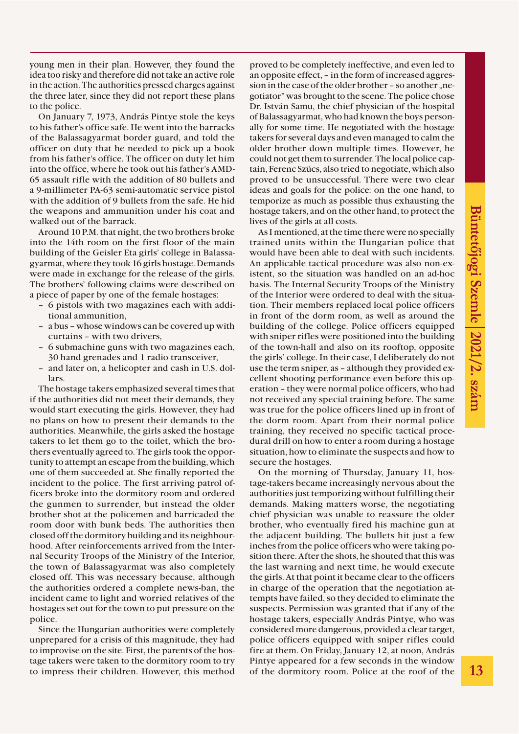young men in their plan. However, they found the idea too risky and therefore did not take an active role in the action. The authorities pressed charges against the three later, since they did not report these plans to the police.

On January 7, 1973, András Pintye stole the keys to his father's office safe. He went into the barracks of the Balassagyarmat border guard, and told the officer on duty that he needed to pick up a book from his father's office. The officer on duty let him into the office, where he took out his father's AMD-65 assault rifle with the addition of 80 bullets and a 9-millimeter PA-63 semi-automatic service pistol with the addition of 9 bullets from the safe. He hid the weapons and ammunition under his coat and walked out of the barrack.

Around 10 P.M. that night, the two brothers broke into the 14th room on the first floor of the main building of the Geisler Eta girls' college in Balassagyarmat, where they took 16 girls hostage. Demands were made in exchange for the release of the girls. The brothers' following claims were described on a piece of paper by one of the female hostages:

- 6 pistols with two magazines each with additional ammunition,
- a bus whose windows can be covered up with curtains – with two drivers,
- 6 submachine guns with two magazines each, 30 hand grenades and 1 radio transceiver,
- and later on, a helicopter and cash in U.S. dollars.

The hostage takers emphasized several times that if the authorities did not meet their demands, they would start executing the girls. However, they had no plans on how to present their demands to the authorities. Meanwhile, the girls asked the hostage takers to let them go to the toilet, which the brothers eventually agreed to. The girls took the opportunity to attempt an escape from the building, which one of them succeeded at. She finally reported the incident to the police. The first arriving patrol officers broke into the dormitory room and ordered the gunmen to surrender, but instead the older brother shot at the policemen and barricaded the room door with bunk beds. The authorities then closed off the dormitory building and its neighbourhood. After reinforcements arrived from the Internal Security Troops of the Ministry of the Interior, the town of Balassagyarmat was also completely closed off. This was necessary because, although the authorities ordered a complete news-ban, the incident came to light and worried relatives of the hostages set out for the town to put pressure on the police.

Since the Hungarian authorities were completely unprepared for a crisis of this magnitude, they had to improvise on the site. First, the parents of the hostage takers were taken to the dormitory room to try to impress their children. However, this method proved to be completely ineffective, and even led to an opposite effect, – in the form of increased aggression in the case of the older brother – so another "negotiator" was brought to the scene. The police chose Dr. István Samu, the chief physician of the hospital of Balassagyarmat, who had known the boys personally for some time. He negotiated with the hostage takers for several days and even managed to calm the older brother down multiple times. However, he could not get them to surrender. The local police captain, Ferenc Szücs, also tried to negotiate, which also proved to be unsuccessful. There were two clear ideas and goals for the police: on the one hand, to temporize as much as possible thus exhausting the hostage takers, and on the other hand, to protect the lives of the girls at all costs.

As I mentioned, at the time there were no specially trained units within the Hungarian police that would have been able to deal with such incidents. An applicable tactical procedure was also non-existent, so the situation was handled on an ad-hoc basis. The Internal Security Troops of the Ministry of the Interior were ordered to deal with the situation. Their members replaced local police officers in front of the dorm room, as well as around the building of the college. Police officers equipped with sniper rifles were positioned into the building of the town-hall and also on its rooftop, opposite the girls' college. In their case, I deliberately do not use the term sniper, as – although they provided excellent shooting performance even before this operation – they were normal police officers, who had not received any special training before. The same was true for the police officers lined up in front of the dorm room. Apart from their normal police training, they received no specific tactical procedural drill on how to enter a room during a hostage situation, how to eliminate the suspects and how to secure the hostages.

On the morning of Thursday, January 11, hostage-takers became increasingly nervous about the authorities just temporizing without fulfilling their demands. Making matters worse, the negotiating chief physician was unable to reassure the older brother, who eventually fired his machine gun at the adjacent building. The bullets hit just a few inches from the police officers who were taking position there. After the shots, he shouted that this was the last warning and next time, he would execute the girls. At that point it became clear to the officers in charge of the operation that the negotiation attempts have failed, so they decided to eliminate the suspects. Permission was granted that if any of the hostage takers, especially András Pintye, who was considered more dangerous, provided a clear target, police officers equipped with sniper rifles could fire at them. On Friday, January 12, at noon, András Pintye appeared for a few seconds in the window of the dormitory room. Police at the roof of the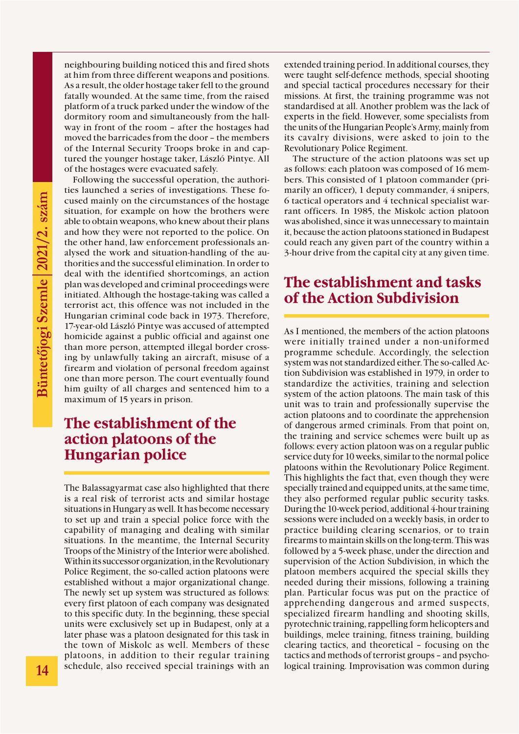neighbouring building noticed this and fired shots at him from three different weapons and positions. As a result, the older hostage taker fell to the ground fatally wounded. At the same time, from the raised platform of a truck parked under the window of the dormitory room and simultaneously from the hallway in front of the room – after the hostages had moved the barricades from the door – the members of the Internal Security Troops broke in and captured the younger hostage taker, László Pintye. All of the hostages were evacuated safely.

Following the successful operation, the authorities launched a series of investigations. These focused mainly on the circumstances of the hostage situation, for example on how the brothers were able to obtain weapons, who knew about their plans and how they were not reported to the police. On the other hand, law enforcement professionals analysed the work and situation-handling of the authorities and the successful elimination. In order to deal with the identified shortcomings, an action plan was developed and criminal proceedings were initiated. Although the hostage-taking was called a terrorist act, this offence was not included in the Hungarian criminal code back in 1973. Therefore, 17-year-old László Pintye was accused of attempted homicide against a public official and against one than more person, attempted illegal border crossing by unlawfully taking an aircraft, misuse of a firearm and violation of personal freedom against one than more person. The court eventually found him guilty of all charges and sentenced him to a maximum of 15 years in prison.

### **The establishment of the action platoons of the Hungarian police**

The Balassagyarmat case also highlighted that there is a real risk of terrorist acts and similar hostage situations in Hungary as well. It has become necessary to set up and train a special police force with the capability of managing and dealing with similar situations. In the meantime, the Internal Security Troops of the Ministry of the Interior were abolished. Within its successor organization, in the Revolutionary Police Regiment, the so-called action platoons were established without a major organizational change. The newly set up system was structured as follows: every first platoon of each company was designated to this specific duty. In the beginning, these special units were exclusively set up in Budapest, only at a later phase was a platoon designated for this task in the town of Miskolc as well. Members of these platoons, in addition to their regular training schedule, also received special trainings with an extended training period. In additional courses, they were taught self-defence methods, special shooting and special tactical procedures necessary for their missions. At first, the training programme was not standardised at all. Another problem was the lack of experts in the field. However, some specialists from the units of the Hungarian People's Army, mainly from its cavalry divisions, were asked to join to the Revolutionary Police Regiment.

The structure of the action platoons was set up as follows: each platoon was composed of 16 members. This consisted of 1 platoon commander (primarily an officer), 1 deputy commander, 4 snipers, 6 tactical operators and 4 technical specialist warrant officers. In 1985, the Miskolc action platoon was abolished, since it was unnecessary to maintain it, because the action platoons stationed in Budapest could reach any given part of the country within a 3-hour drive from the capital city at any given time.

## **The establishment and tasks of the Action Subdivision**

As I mentioned, the members of the action platoons were initially trained under a non-uniformed programme schedule. Accordingly, the selection system was not standardized either. The so-called Action Subdivision was established in 1979, in order to standardize the activities, training and selection system of the action platoons. The main task of this unit was to train and professionally supervise the action platoons and to coordinate the apprehension of dangerous armed criminals. From that point on, the training and service schemes were built up as follows: every action platoon was on a regular public service duty for 10 weeks, similar to the normal police platoons within the Revolutionary Police Regiment. This highlights the fact that, even though they were specially trained and equipped units, at the same time, they also performed regular public security tasks. During the 10-week period, additional 4-hour training sessions were included on a weekly basis, in order to practice building clearing scenarios, or to train firearms to maintain skills on the long-term. This was followed by a 5-week phase, under the direction and supervision of the Action Subdivision, in which the platoon members acquired the special skills they needed during their missions, following a training plan. Particular focus was put on the practice of apprehending dangerous and armed suspects, specialized firearm handling and shooting skills, pyrotechnic training, rappelling form helicopters and buildings, melee training, fitness training, building clearing tactics, and theoretical – focusing on the tactics and methods of terrorist groups – and psychological training. Improvisation was common during